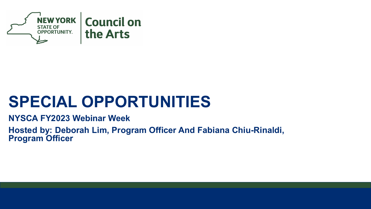

#### **SPECIAL OPPORTUNITIES**

#### **NYSCA FY2023 Webinar Week**

**Hosted by: Deborah Lim, Program Officer And Fabiana Chiu-Rinaldi, Program Officer**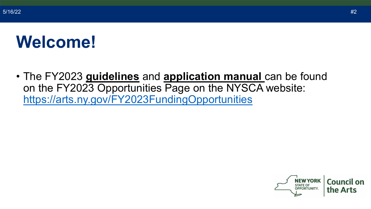#### **Welcome!**

• The FY2023 **guidelines** and **application manual** can be found on the FY2023 Opportunities Page on the NYSCA website: <https://arts.ny.gov/FY2023FundingOpportunities>

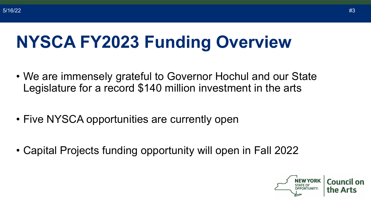### **NYSCA FY2023 Funding Overview**

- We are immensely grateful to Governor Hochul and our State Legislature for a record \$140 million investment in the arts
- Five NYSCA opportunities are currently open
- Capital Projects funding opportunity will open in Fall 2022

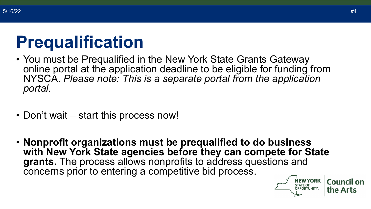#### **Prequalification**

- You must be Prequalified in the New York State Grants Gateway online portal at the application deadline to be eligible for funding from NYSCA. *Please note: This is a separate portal from the application portal.*
- Don't wait start this process now!
- **Nonprofit organizations must be prequalified to do business with New York State agencies before they can compete for State grants.** The process allows nonprofits to address questions and concerns prior to entering a competitive bid process.



**Council on** 

the Arts

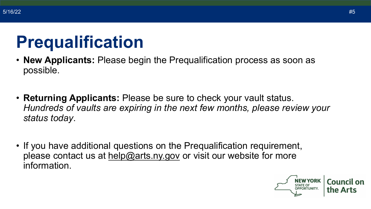#### **Prequalification**

- **New Applicants:** Please begin the Prequalification process as soon as possible.
- **Returning Applicants:** Please be sure to check your vault status. *Hundreds of vaults are expiring in the next few months, please review your status today*.
- If you have additional questions on the Prequalification requirement, please contact us at [help@arts.ny.gov](mailto:help@arts.ny.gov) or visit our website for more information.

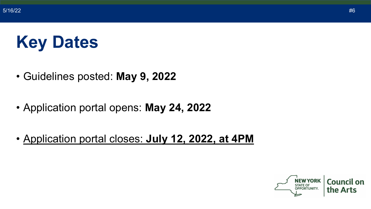### **Key Dates**

- Guidelines posted: **May 9, 2022**
- Application portal opens: **May 24, 2022**
- Application portal closes: **July 12, 2022, at 4PM**

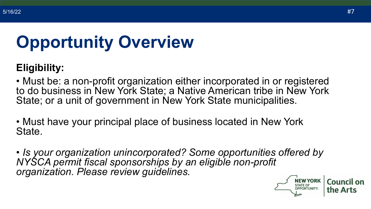# **Opportunity Overview**

#### **Eligibility:**

• Must be: a non-profit organization either incorporated in or registered to do business in New York State; a Native American tribe in New York State; or a unit of government in New York State municipalities.

• Must have your principal place of business located in New York State.

• *Is your organization unincorporated? Some opportunities offered by NYSCA permit fiscal sponsorships by an eligible non-profit organization. Please review guidelines.*

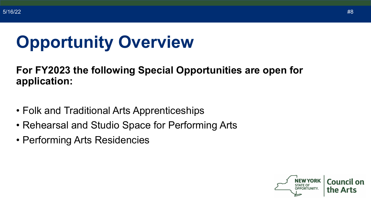### **Opportunity Overview**

#### **For FY2023 the following Special Opportunities are open for application:**

- Folk and Traditional Arts Apprenticeships
- Rehearsal and Studio Space for Performing Arts
- Performing Arts Residencies

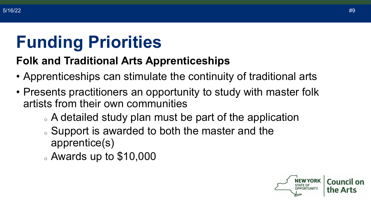### **Funding Priorities**

#### **Folk and Traditional Arts Apprenticeships**

- Apprenticeships can stimulate the continuity of traditional arts
- Presents practitioners an opportunity to study with master folk artists from their own communities
	- . A detailed study plan must be part of the application
	- . Support is awarded to both the master and the apprentice(s)
	- $\alpha$  Awards up to \$10,000

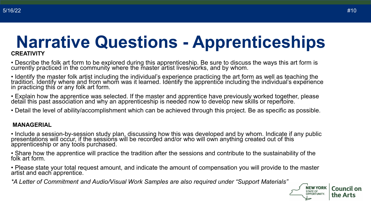#### **Narrative Questions - Apprenticeships CREATIVITY**

• Describe the folk art form to be explored during this apprenticeship. Be sure to discuss the ways this art form is currently practiced in the community where the master artist lives/works, and by whom.

• Identify the master folk artist including the individual's experience practicing the art form as well as teaching the tradition. Identify where and from whom was it learned. Identify the apprentice including the individual's experience in practicing this or any folk art form.

• Explain how the apprentice was selected. If the master and apprentice have previously worked together, please detail this past association and why an apprenticeship is needed now to develop new skills or repertoire.

• Detail the level of ability/accomplishment which can be achieved through this project. Be as specific as possible.

#### **MANAGERIAL**

• Include a session-by-session study plan, discussing how this was developed and by whom. Indicate if any public<br>presentations will occur, if the sessions will be recorded and/or who will own anything created out of this apprenticeship or any tools purchased.

• Share how the apprentice will practice the tradition after the sessions and contribute to the sustainability of the folk art form.

• Please state your total request amount, and indicate the amount of compensation you will provide to the master artist and each apprentice.

*\*A Letter of Commitment and Audio/Visual Work Samples are also required under "Support Materials"*

**NEW YORK** 

**STATE OF** OPPORTUNITY. **Council on** 

the Arts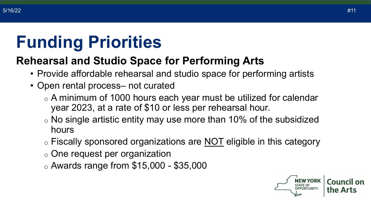### **Funding Priorities**

#### **Rehearsal and Studio Space for Performing Arts**

- Provide affordable rehearsal and studio space for performing artists
- Open rental process– not curated
	- o A minimum of 1000 hours each year must be utilized for calendar year 2023, at a rate of \$10 or less per rehearsal hour.
	- $\circ$  No single artistic entity may use more than 10% of the subsidized hours
	- o Fiscally sponsored organizations are NOT eligible in this category
	- o One request per organization
	- o Awards range from \$15,000 \$35,000

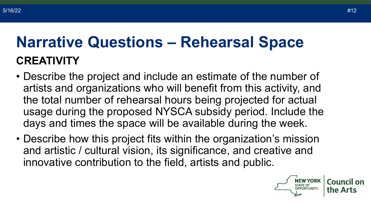#### **Narrative Questions – Rehearsal Space CREATIVITY**

- Describe the project and include an estimate of the number of artists and organizations who will benefit from this activity, and the total number of rehearsal hours being projected for actual usage during the proposed NYSCA subsidy period. Include the days and times the space will be available during the week.
- Describe how this project fits within the organization's mission and artistic / cultural vision, its significance, and creative and innovative contribution to the field, artists and public.

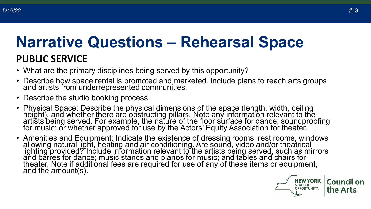#### **Narrative Questions – Rehearsal Space PUBLIC SERVICE**

- What are the primary disciplines being served by this opportunity?
- Describe how space rental is promoted and marketed. Include plans to reach arts groups and artists from underrepresented communities.
- Describe the studio booking process.
- Physical Space: Describe the physical dimensions of the space (length, width, ceiling height), and whether there are obstructing pillars. Note any information relevant to the artišts being served. For example, the nature of the floor surface for dance; soundproofing for music; or whether approved for use by the Actors' Equity Association for theater.
- Amenities and Equipment: Indicate the existence of dressing rooms, rest rooms, windows allowing natural light, heating and air conditioning. Are sound, video and/or theatrical lighting provided? Include information relevant to the artists being served, such as mirrors and barres for dance; music stands and pianos for music; and tables and chairs for theater. Note if additional fees are required for use of any of these items or equipment, and the amount(s).

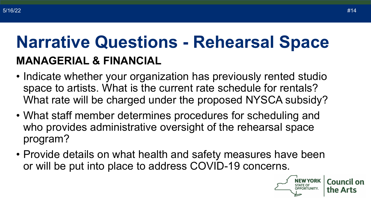#### **Narrative Questions - Rehearsal Space MANAGERIAL & FINANCIAL**

- Indicate whether your organization has previously rented studio space to artists. What is the current rate schedule for rentals? What rate will be charged under the proposed NYSCA subsidy?
- What staff member determines procedures for scheduling and who provides administrative oversight of the rehearsal space program?
- Provide details on what health and safety measures have been or will be put into place to address COVID-19 concerns.

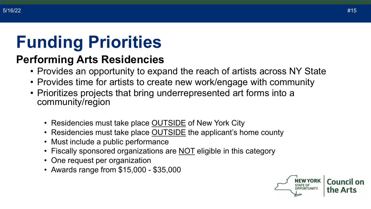### **Funding Priorities**

#### **Performing Arts Residencies**

- Provides an opportunity to expand the reach of artists across NY State
- Provides time for artists to create new work/engage with community
- Prioritizes projects that bring underrepresented art forms into a community/region
	- Residencies must take place **OUTSIDE** of New York City
	- Residencies must take place **OUTSIDE** the applicant's home county
	- Must include a public performance
	- Fiscally sponsored organizations are NOT eligible in this category
	- One request per organization
	- Awards range from \$15,000 \$35,000

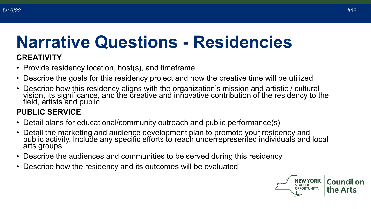### **Narrative Questions - Residencies**

#### **CREATIVITY**

- Provide residency location, host(s), and timeframe
- Describe the goals for this residency project and how the creative time will be utilized
- Describe how this residency aligns with the organization's mission and artistic / cultural vision, its significance, and the creative and innovative contribution of the residency to the field, artists and public

#### **PUBLIC SERVICE**

- Detail plans for educational/community outreach and public performance(s)
- Detail the marketing and audience development plan to promote your residency and public activity. Include any specific efforts to reach underrepresented individuals and local arts groups
- Describe the audiences and communities to be served during this residency
- Describe how the residency and its outcomes will be evaluated

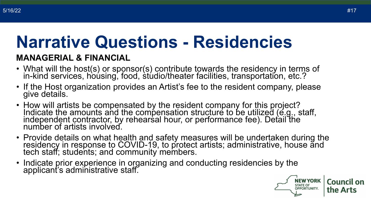# **Narrative Questions - Residencies**

#### **MANAGERIAL & FINANCIAL**

- What will the host(s) or sponsor(s) contribute towards the residency in terms of in-kind services, hoúsing, food, stúdio/theater facilities, transportation, etc.?
- If the Host organization provides an Artist's fee to the resident company, please give details.
- How will artists be compensated by the resident company for this project? Indicate the amounts and the compensation structure to be utilized (e.g., staff, independent contractor, by rehearsal hour, or performance fee). Detail the number of artists involved.
- Provide details on what health and safety measures will be undertaken during the residency in response to COVID-19, to protect artists; administrative, house and<br>tech staff; students; and community members.
- Indicate prior experience in organizing and conducting residencies by the applicant's administrative staff.

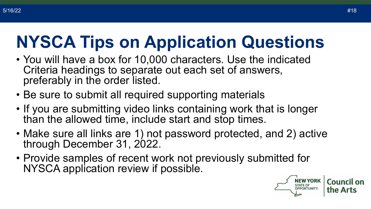# **NYSCA Tips on Application Questions**

- You will have a box for 10,000 characters. Use the indicated Criteria headings to separate out each set of answers, preferably in the order listed.
- Be sure to submit all required supporting materials
- If you are submitting video links containing work that is longer than the allowed time, include start and stop times.
- Make sure all links are 1) not password protected, and 2) active through December 31, 2022.
- Provide samples of recent work not previously submitted for NYSCA application review if possible.

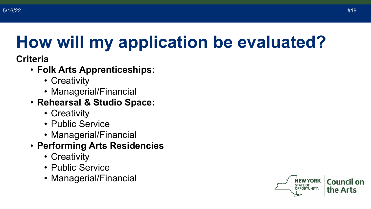### **How will my application be evaluated?**

#### **Criteria**

- **Folk Arts Apprenticeships:** 
	- Creativity
	- Managerial/Financial

#### • **Rehearsal & Studio Space:**

- Creativity
- Public Service
- Managerial/Financial

#### • **Performing Arts Residencies**

- Creativity
- Public Service
- Managerial/Financial

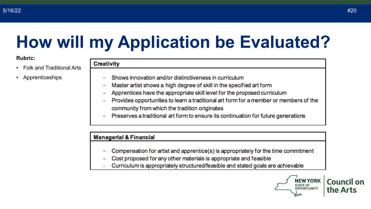### **How will my Application be Evaluated?**

#### **Rubric:**

- Folk and Traditional Arts
- Apprenticeships

| <b>Creativity</b> |  |  |
|-------------------|--|--|
|                   |  |  |

- Shows innovation and/or distinctiveness in curriculum
- Master artist shows a high degree of skill in the specified art form
- Apprentices have the appropriate skill level for the proposed curriculum
- Provides opportunities to learn a traditional art form for a member or members of the community from which the tradition originates
- Preserves a traditional art form to ensure its continuation for future generations

#### **Managerial & Financial**

- Compensation for artist and apprentice(s) is appropriately for the time commitment
- Cost proposed for any other materials is appropriate and feasible
- Curriculum is appropriately structured/feasible and stated goals are achievable

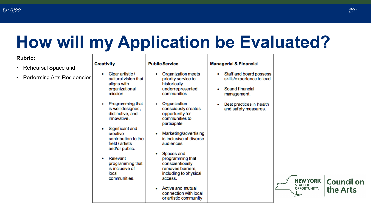#### **How will my Application be Evaluated?**

#### **Rubric:**

- Rehearsal Space and
- Performing Arts Resid

|         | <b>Creativity</b>                                                                            | <b>Public Service</b>                                                                                      | <b>Managerial &amp; Financial</b>                                                           |                                                           |
|---------|----------------------------------------------------------------------------------------------|------------------------------------------------------------------------------------------------------------|---------------------------------------------------------------------------------------------|-----------------------------------------------------------|
| dencies | Clear artistic /<br>٠<br>cultural vision that<br>aligns with<br>organizational<br>mission    | Organization meets<br>٠<br>priority service to<br>historically<br>underrepresented<br>communities          | Staff and board possess<br>۰<br>skills/experience to lead<br>Sound financial<br>management. |                                                           |
|         | Programming that<br>۰<br>is well designed,<br>distinctive, and<br>innovative.                | Organization<br>۰<br>consciously creates<br>opportunity for<br>communities to<br>participate               | Best practices in health<br>and safety measures.                                            |                                                           |
|         | Significant and<br>٠<br>creative<br>contribution to the<br>field / artists<br>and/or public. | Marketing/advertising<br>is inclusive of diverse<br>audiences                                              |                                                                                             |                                                           |
|         | Relevant<br>۰<br>programming that<br>is inclusive of<br>local<br>communities.                | Spaces and<br>programming that<br>conscientiously<br>removes barriers,<br>including to physical<br>access. |                                                                                             |                                                           |
|         |                                                                                              | Active and mutual<br>connection with local<br>or artistic community                                        |                                                                                             | <b>NEW YORK</b><br><b>STATE OF</b><br><b>OPPORTUNITY.</b> |



**Council on** 

the Arts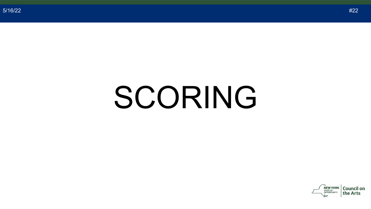# SCORING

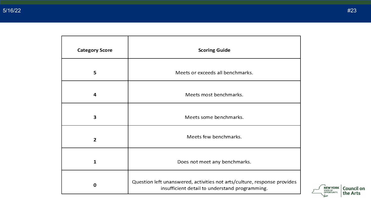| <b>Category Score</b> | <b>Scoring Guide</b>                                                                                                       |  |
|-----------------------|----------------------------------------------------------------------------------------------------------------------------|--|
| 5                     | Meets or exceeds all benchmarks.                                                                                           |  |
| 4                     | Meets most benchmarks.                                                                                                     |  |
| 3                     | Meets some benchmarks.                                                                                                     |  |
| $\overline{2}$        | Meets few benchmarks.                                                                                                      |  |
| $\mathbf{1}$          | Does not meet any benchmarks.                                                                                              |  |
| O                     | Question left unanswered, activities not arts/culture, response provides<br>insufficient detail to understand programming. |  |

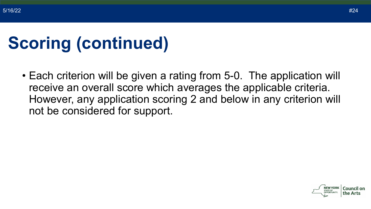# **Scoring (continued)**

• Each criterion will be given a rating from 5-0. The application will receive an overall score which averages the applicable criteria. However, any application scoring 2 and below in any criterion will not be considered for support.

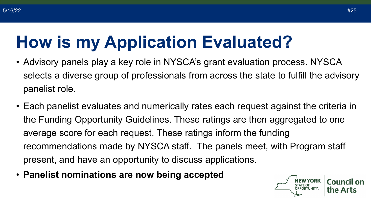### **How is my Application Evaluated?**

- Advisory panels play a key role in NYSCA's grant evaluation process. NYSCA selects a diverse group of professionals from across the state to fulfill the advisory panelist role.
- Each panelist evaluates and numerically rates each request against the criteria in the Funding Opportunity Guidelines. These ratings are then aggregated to one average score for each request. These ratings inform the funding recommendations made by NYSCA staff. The panels meet, with Program staff present, and have an opportunity to discuss applications.
- **Panelist nominations are now being accepted**

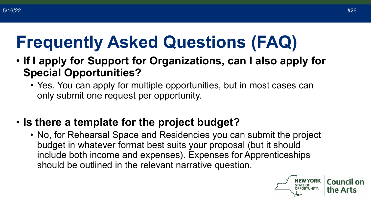### **Frequently Asked Questions (FAQ)**

- **If I apply for Support for Organizations, can I also apply for Special Opportunities?**
	- Yes. You can apply for multiple opportunities, but in most cases can only submit one request per opportunity.
- **Is there a template for the project budget?**
	- No, for Rehearsal Space and Residencies you can submit the project budget in whatever format best suits your proposal (but it should include both income and expenses). Expenses for Apprenticeships should be outlined in the relevant narrative question.

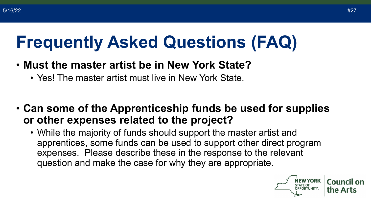### **Frequently Asked Questions (FAQ)**

- **Must the master artist be in New York State?**
	- Yes! The master artist must live in New York State.
- **Can some of the Apprenticeship funds be used for supplies or other expenses related to the project?**
	- While the majority of funds should support the master artist and apprentices, some funds can be used to support other direct program expenses. Please describe these in the response to the relevant question and make the case for why they are appropriate.

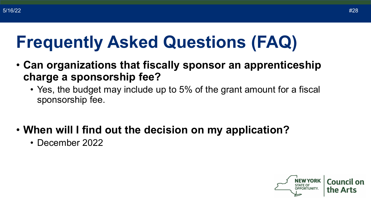### **Frequently Asked Questions (FAQ)**

- **Can organizations that fiscally sponsor an apprenticeship charge a sponsorship fee?**
	- Yes, the budget may include up to 5% of the grant amount for a fiscal sponsorship fee.
- **When will I find out the decision on my application?**
	- December 2022

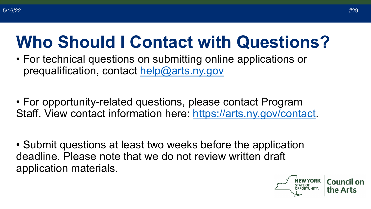### **Who Should I Contact with Questions?**

- For technical questions on submitting online applications or prequalification, contact [help@arts.ny.gov](mailto:help@arts.ny.gov)
- For opportunity-related questions, please contact Program Staff. View contact information here: [https://arts.ny.gov/contact.](https://arts.ny.gov/contact)
- Submit questions at least two weeks before the application deadline. Please note that we do not review written draft application materials.

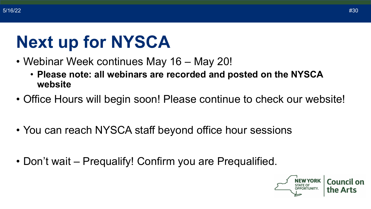### **Next up for NYSCA**

- Webinar Week continues May 16 May 20!
	- **Please note: all webinars are recorded and posted on the NYSCA website**
- Office Hours will begin soon! Please continue to check our website!
- You can reach NYSCA staff beyond office hour sessions
- Don't wait Prequalify! Confirm you are Prequalified.